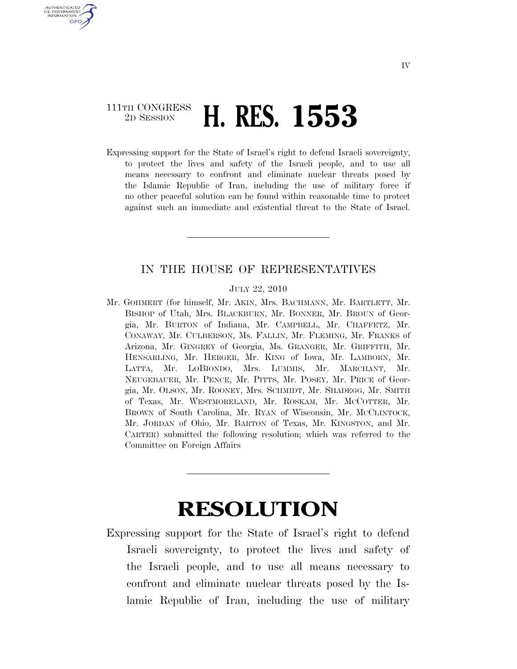## 111TH CONGRESS <sup>2D SESSION</sup> **H. RES. 1553**

U.S. GOVERNMENT **GPO** 

> Expressing support for the State of Israel's right to defend Israeli sovereignty, to protect the lives and safety of the Israeli people, and to use all means necessary to confront and eliminate nuclear threats posed by the Islamic Republic of Iran, including the use of military force if no other peaceful solution can be found within reasonable time to protect against such an immediate and existential threat to the State of Israel.

## IN THE HOUSE OF REPRESENTATIVES

## JULY 22, 2010

Mr. GOHMERT (for himself, Mr. AKIN, Mrs. BACHMANN, Mr. BARTLETT, Mr. BISHOP of Utah, Mrs. BLACKBURN, Mr. BONNER, Mr. BROUN of Georgia, Mr. BURTON of Indiana, Mr. CAMPBELL, Mr. CHAFFETZ, Mr. CONAWAY, Mr. CULBERSON, Ms. FALLIN, Mr. FLEMING, Mr. FRANKS of Arizona, Mr. GINGREY of Georgia, Ms. GRANGER, Mr. GRIFFITH, Mr. HENSARLING, Mr. HERGER, Mr. KING of Iowa, Mr. LAMBORN, Mr. LATTA, Mr. LOBIONDO, Mrs. LUMMIS, Mr. MARCHANT, Mr. NEUGEBAUER, Mr. PENCE, Mr. PITTS, Mr. POSEY, Mr. PRICE of Georgia, Mr. OLSON, Mr. ROONEY, Mrs. SCHMIDT, Mr. SHADEGG, Mr. SMITH of Texas, Mr. WESTMORELAND, Mr. ROSKAM, Mr. MCCOTTER, Mr. BROWN of South Carolina, Mr. RYAN of Wisconsin, Mr. MCCLINTOCK, Mr. JORDAN of Ohio, Mr. BARTON of Texas, Mr. KINGSTON, and Mr. CARTER) submitted the following resolution; which was referred to the Committee on Foreign Affairs

## **RESOLUTION**

Expressing support for the State of Israel's right to defend Israeli sovereignty, to protect the lives and safety of the Israeli people, and to use all means necessary to confront and eliminate nuclear threats posed by the Islamic Republic of Iran, including the use of military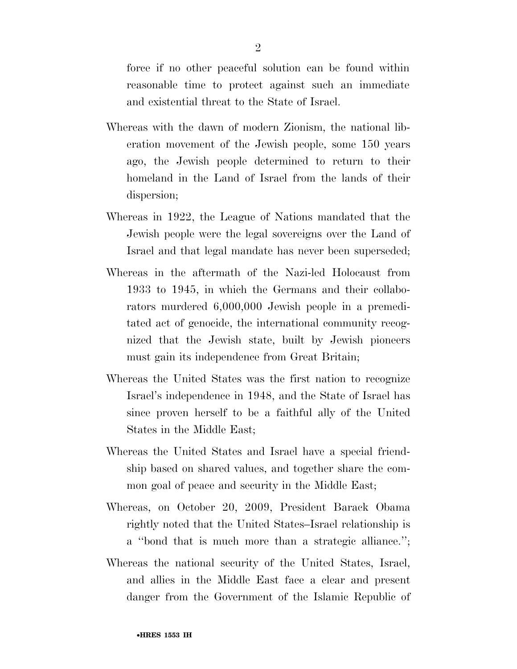force if no other peaceful solution can be found within reasonable time to protect against such an immediate and existential threat to the State of Israel.

- Whereas with the dawn of modern Zionism, the national liberation movement of the Jewish people, some 150 years ago, the Jewish people determined to return to their homeland in the Land of Israel from the lands of their dispersion;
- Whereas in 1922, the League of Nations mandated that the Jewish people were the legal sovereigns over the Land of Israel and that legal mandate has never been superseded;
- Whereas in the aftermath of the Nazi-led Holocaust from 1933 to 1945, in which the Germans and their collaborators murdered 6,000,000 Jewish people in a premeditated act of genocide, the international community recognized that the Jewish state, built by Jewish pioneers must gain its independence from Great Britain;
- Whereas the United States was the first nation to recognize Israel's independence in 1948, and the State of Israel has since proven herself to be a faithful ally of the United States in the Middle East;
- Whereas the United States and Israel have a special friendship based on shared values, and together share the common goal of peace and security in the Middle East;
- Whereas, on October 20, 2009, President Barack Obama rightly noted that the United States–Israel relationship is a ''bond that is much more than a strategic alliance.'';
- Whereas the national security of the United States, Israel, and allies in the Middle East face a clear and present danger from the Government of the Islamic Republic of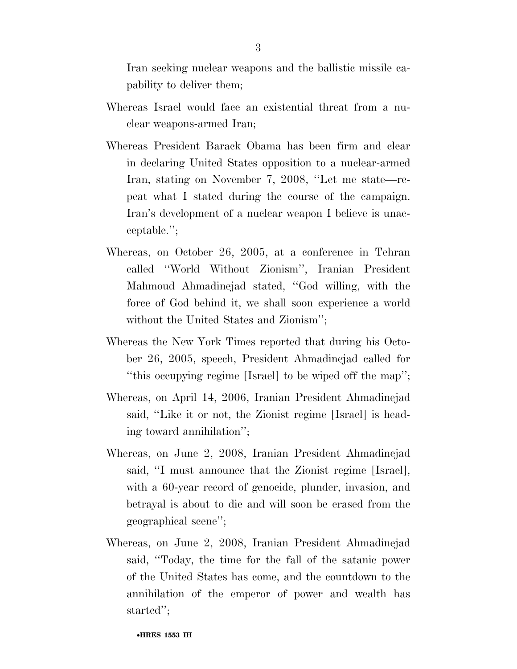Iran seeking nuclear weapons and the ballistic missile capability to deliver them;

- Whereas Israel would face an existential threat from a nuclear weapons-armed Iran;
- Whereas President Barack Obama has been firm and clear in declaring United States opposition to a nuclear-armed Iran, stating on November 7, 2008, ''Let me state—repeat what I stated during the course of the campaign. Iran's development of a nuclear weapon I believe is unacceptable.'';
- Whereas, on October 26, 2005, at a conference in Tehran called ''World Without Zionism'', Iranian President Mahmoud Ahmadinejad stated, ''God willing, with the force of God behind it, we shall soon experience a world without the United States and Zionism'';
- Whereas the New York Times reported that during his October 26, 2005, speech, President Ahmadinejad called for ''this occupying regime [Israel] to be wiped off the map'';
- Whereas, on April 14, 2006, Iranian President Ahmadinejad said, ''Like it or not, the Zionist regime [Israel] is heading toward annihilation'';
- Whereas, on June 2, 2008, Iranian President Ahmadinejad said, ''I must announce that the Zionist regime [Israel], with a 60-year record of genocide, plunder, invasion, and betrayal is about to die and will soon be erased from the geographical scene'';
- Whereas, on June 2, 2008, Iranian President Ahmadinejad said, ''Today, the time for the fall of the satanic power of the United States has come, and the countdown to the annihilation of the emperor of power and wealth has started'';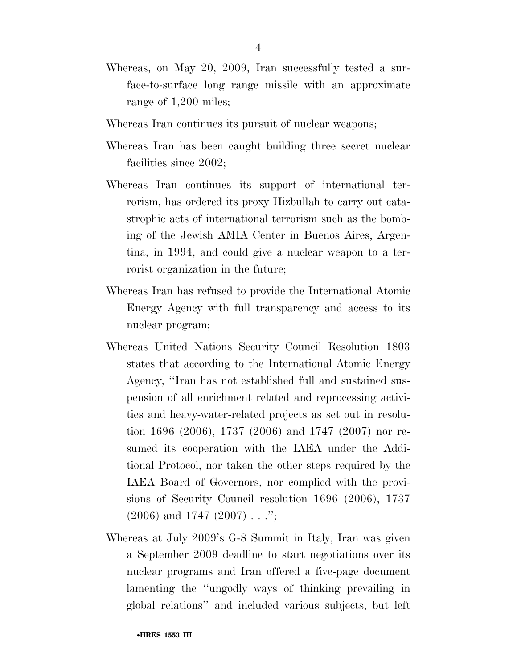- Whereas, on May 20, 2009, Iran successfully tested a surface-to-surface long range missile with an approximate range of 1,200 miles;
- Whereas Iran continues its pursuit of nuclear weapons;
- Whereas Iran has been caught building three secret nuclear facilities since 2002;
- Whereas Iran continues its support of international terrorism, has ordered its proxy Hizbullah to carry out catastrophic acts of international terrorism such as the bombing of the Jewish AMIA Center in Buenos Aires, Argentina, in 1994, and could give a nuclear weapon to a terrorist organization in the future;
- Whereas Iran has refused to provide the International Atomic Energy Agency with full transparency and access to its nuclear program;
- Whereas United Nations Security Council Resolution 1803 states that according to the International Atomic Energy Agency, ''Iran has not established full and sustained suspension of all enrichment related and reprocessing activities and heavy-water-related projects as set out in resolution 1696 (2006), 1737 (2006) and 1747 (2007) nor resumed its cooperation with the IAEA under the Additional Protocol, nor taken the other steps required by the IAEA Board of Governors, nor complied with the provisions of Security Council resolution 1696 (2006), 1737  $(2006)$  and 1747  $(2007)$ ...";
- Whereas at July 2009's G-8 Summit in Italy, Iran was given a September 2009 deadline to start negotiations over its nuclear programs and Iran offered a five-page document lamenting the ''ungodly ways of thinking prevailing in global relations'' and included various subjects, but left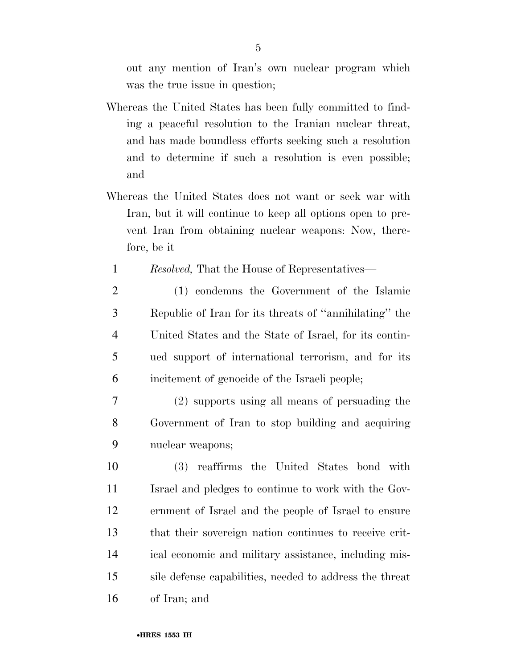out any mention of Iran's own nuclear program which was the true issue in question;

- Whereas the United States has been fully committed to finding a peaceful resolution to the Iranian nuclear threat, and has made boundless efforts seeking such a resolution and to determine if such a resolution is even possible; and
- Whereas the United States does not want or seek war with Iran, but it will continue to keep all options open to prevent Iran from obtaining nuclear weapons: Now, therefore, be it
	- 1 *Resolved,* That the House of Representatives—
- 2 (1) condemns the Government of the Islamic 3 Republic of Iran for its threats of ''annihilating'' the 4 United States and the State of Israel, for its contin-5 ued support of international terrorism, and for its 6 incitement of genocide of the Israeli people;
- 7 (2) supports using all means of persuading the 8 Government of Iran to stop building and acquiring 9 nuclear weapons;
- 10 (3) reaffirms the United States bond with 11 Israel and pledges to continue to work with the Gov-12 ernment of Israel and the people of Israel to ensure 13 that their sovereign nation continues to receive crit-14 ical economic and military assistance, including mis-15 sile defense capabilities, needed to address the threat 16 of Iran; and